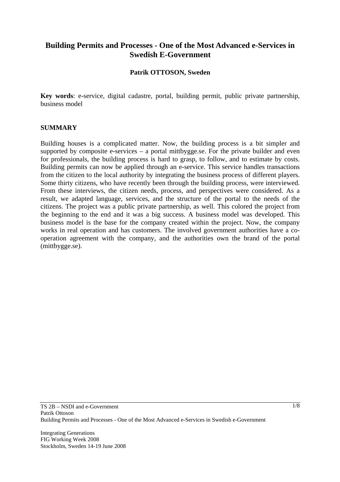# **Building Permits and Processes - One of the Most Advanced e-Services in Swedish E-Government**

### **Patrik OTTOSON, Sweden**

**Key words**: e-service, digital cadastre, portal, building permit, public private partnership, business model

#### **SUMMARY**

Building houses is a complicated matter. Now, the building process is a bit simpler and supported by composite e-services – a portal mittbygge.se. For the private builder and even for professionals, the building process is hard to grasp, to follow, and to estimate by costs. Building permits can now be applied through an e-service. This service handles transactions from the citizen to the local authority by integrating the business process of different players. Some thirty citizens, who have recently been through the building process, were interviewed. From these interviews, the citizen needs, process, and perspectives were considered. As a result, we adapted language, services, and the structure of the portal to the needs of the citizens. The project was a public private partnership, as well. This colored the project from the beginning to the end and it was a big success. A business model was developed. This business model is the base for the company created within the project. Now, the company works in real operation and has customers. The involved government authorities have a cooperation agreement with the company, and the authorities own the brand of the portal (mittbygge.se).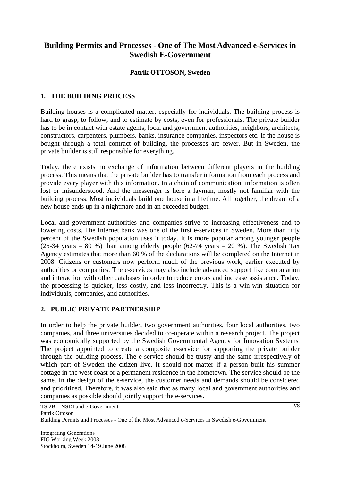# **Building Permits and Processes - One of The Most Advanced e-Services in Swedish E-Government**

### **Patrik OTTOSON, Sweden**

### **1. THE BUILDING PROCESS**

Building houses is a complicated matter, especially for individuals. The building process is hard to grasp, to follow, and to estimate by costs, even for professionals. The private builder has to be in contact with estate agents, local and government authorities, neighbors, architects, constructors, carpenters, plumbers, banks, insurance companies, inspectors etc. If the house is bought through a total contract of building, the processes are fewer. But in Sweden, the private builder is still responsible for everything.

Today, there exists no exchange of information between different players in the building process. This means that the private builder has to transfer information from each process and provide every player with this information. In a chain of communication, information is often lost or misunderstood. And the messenger is here a layman, mostly not familiar with the building process. Most individuals build one house in a lifetime. All together, the dream of a new house ends up in a nightmare and in an exceeded budget.

Local and government authorities and companies strive to increasing effectiveness and to lowering costs. The Internet bank was one of the first e-services in Sweden. More than fifty percent of the Swedish population uses it today. It is more popular among younger people (25-34 years – 80 %) than among elderly people (62-74 years – 20 %). The Swedish Tax Agency estimates that more than 60 % of the declarations will be completed on the Internet in 2008. Citizens or customers now perform much of the previous work, earlier executed by authorities or companies. The e-services may also include advanced support like computation and interaction with other databases in order to reduce errors and increase assistance. Today, the processing is quicker, less costly, and less incorrectly. This is a win-win situation for individuals, companies, and authorities.

### **2. PUBLIC PRIVATE PARTNERSHIP**

In order to help the private builder, two government authorities, four local authorities, two companies, and three universities decided to co-operate within a research project. The project was economically supported by the Swedish Governmental Agency for Innovation Systems. The project appointed to create a composite e-service for supporting the private builder through the building process. The e-service should be trusty and the same irrespectively of which part of Sweden the citizen live. It should not matter if a person built his summer cottage in the west coast or a permanent residence in the hometown. The service should be the same. In the design of the e-service, the customer needs and demands should be considered and prioritized. Therefore, it was also said that as many local and government authorities and companies as possible should jointly support the e-services.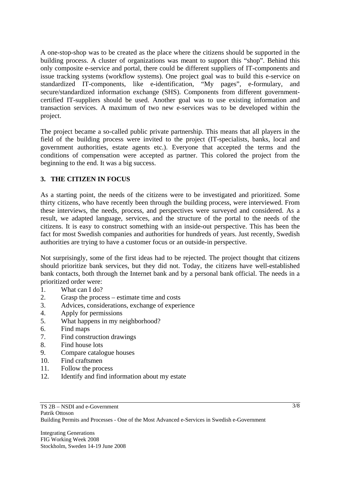A one-stop-shop was to be created as the place where the citizens should be supported in the building process. A cluster of organizations was meant to support this "shop". Behind this only composite e-service and portal, there could be different suppliers of IT-components and issue tracking systems (workflow systems). One project goal was to build this e-service on standardized IT-components, like e-identification, "My pages", e-formulary, and secure/standardized information exchange (SHS). Components from different governmentcertified IT-suppliers should be used. Another goal was to use existing information and transaction services. A maximum of two new e-services was to be developed within the project.

The project became a so-called public private partnership. This means that all players in the field of the building process were invited to the project (IT-specialists, banks, local and government authorities, estate agents etc.). Everyone that accepted the terms and the conditions of compensation were accepted as partner. This colored the project from the beginning to the end. It was a big success.

## **3. THE CITIZEN IN FOCUS**

As a starting point, the needs of the citizens were to be investigated and prioritized. Some thirty citizens, who have recently been through the building process, were interviewed. From these interviews, the needs, process, and perspectives were surveyed and considered. As a result, we adapted language, services, and the structure of the portal to the needs of the citizens. It is easy to construct something with an inside-out perspective. This has been the fact for most Swedish companies and authorities for hundreds of years. Just recently, Swedish authorities are trying to have a customer focus or an outside-in perspective.

Not surprisingly, some of the first ideas had to be rejected. The project thought that citizens should prioritize bank services, but they did not. Today, the citizens have well-established bank contacts, both through the Internet bank and by a personal bank official. The needs in a prioritized order were:

- 1. What can I do?
- 2. Grasp the process estimate time and costs
- 3. Advices, considerations, exchange of experience
- 4. Apply for permissions
- 5. What happens in my neighborhood?
- 6. Find maps
- 7. Find construction drawings
- 8. Find house lots
- 9. Compare catalogue houses
- 10. Find craftsmen
- 11. Follow the process
- 12. Identify and find information about my estate

3/8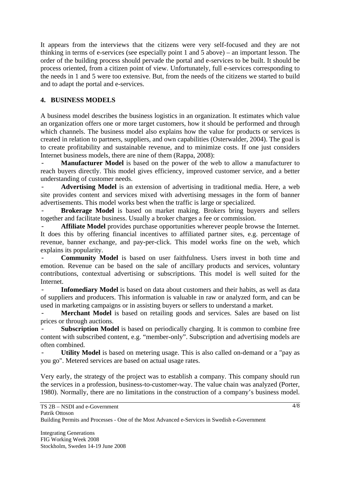It appears from the interviews that the citizens were very self-focused and they are not thinking in terms of e-services (see especially point 1 and 5 above) – an important lesson. The order of the building process should pervade the portal and e-services to be built. It should be process oriented, from a citizen point of view. Unfortunately, full e-services corresponding to the needs in 1 and 5 were too extensive. But, from the needs of the citizens we started to build and to adapt the portal and e-services.

## **4. BUSINESS MODELS**

A business model describes the business logistics in an organization. It estimates which value an organization offers one or more target customers, how it should be performed and through which channels. The business model also explains how the value for products or services is created in relation to partners, suppliers, and own capabilities (Osterwalder, 2004). The goal is to create profitability and sustainable revenue, and to minimize costs. If one just considers Internet business models, there are nine of them (Rappa, 2008):

**Manufacturer Model** is based on the power of the web to allow a manufacturer to reach buyers directly. This model gives efficiency, improved customer service, and a better understanding of customer needs.

Advertising Model is an extension of advertising in traditional media. Here, a web site provides content and services mixed with advertising messages in the form of banner advertisements. This model works best when the traffic is large or specialized.

**Brokerage Model** is based on market making. Brokers bring buyers and sellers together and facilitate business. Usually a broker charges a fee or commission.

Affiliate Model provides purchase opportunities wherever people browse the Internet. It does this by offering financial incentives to affiliated partner sites, e.g. percentage of revenue, banner exchange, and pay-per-click. This model works fine on the web, which explains its popularity.

- **Community Model** is based on user faithfulness. Users invest in both time and emotion. Revenue can be based on the sale of ancillary products and services, voluntary contributions, contextual advertising or subscriptions. This model is well suited for the Internet.

Infomediary Model is based on data about customers and their habits, as well as data of suppliers and producers. This information is valuable in raw or analyzed form, and can be used in marketing campaigns or in assisting buyers or sellers to understand a market.

**Merchant Model** is based on retailing goods and services. Sales are based on list prices or through auctions.

**Subscription Model** is based on periodically charging. It is common to combine free content with subscribed content, e.g. "member-only". Subscription and advertising models are often combined.

Utility Model is based on metering usage. This is also called on-demand or a "pay as you go". Metered services are based on actual usage rates.

Very early, the strategy of the project was to establish a company. This company should run the services in a profession, business-to-customer-way. The value chain was analyzed (Porter, 1980). Normally, there are no limitations in the construction of a company's business model.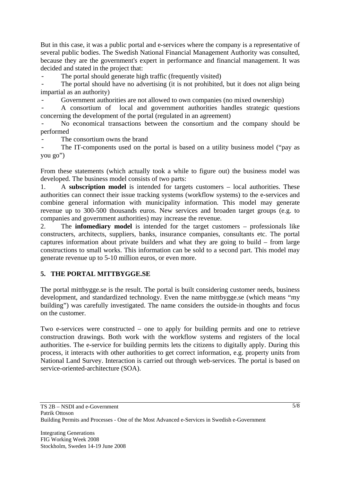But in this case, it was a public portal and e-services where the company is a representative of several public bodies. The Swedish National Financial Management Authority was consulted, because they are the government's expert in performance and financial management. It was decided and stated in the project that:

The portal should generate high traffic (frequently visited)

The portal should have no advertising (it is not prohibited, but it does not align being impartial as an authority)

Government authorities are not allowed to own companies (no mixed ownership)

- A consortium of local and government authorities handles strategic questions concerning the development of the portal (regulated in an agreement)

No economical transactions between the consortium and the company should be performed

The consortium owns the brand

The IT-components used on the portal is based on a utility business model ("pay as you go")

From these statements (which actually took a while to figure out) the business model was developed. The business model consists of two parts:

1. A **subscription model** is intended for targets customers – local authorities. These authorities can connect their issue tracking systems (workflow systems) to the e-services and combine general information with municipality information. This model may generate revenue up to 300-500 thousands euros. New services and broaden target groups (e.g. to companies and government authorities) may increase the revenue.

2. The **infomediary model** is intended for the target customers – professionals like constructers, architects, suppliers, banks, insurance companies, consultants etc. The portal captures information about private builders and what they are going to build – from large constructions to small works. This information can be sold to a second part. This model may generate revenue up to 5-10 million euros, or even more.

## **5. THE PORTAL MITTBYGGE.SE**

The portal mittbygge.se is the result. The portal is built considering customer needs, business development, and standardized technology. Even the name mittbygge.se (which means "my building") was carefully investigated. The name considers the outside-in thoughts and focus on the customer.

Two e-services were constructed – one to apply for building permits and one to retrieve construction drawings. Both work with the workflow systems and registers of the local authorities. The e-service for building permits lets the citizens to digitally apply. During this process, it interacts with other authorities to get correct information, e.g. property units from National Land Survey. Interaction is carried out through web-services. The portal is based on service-oriented-architecture (SOA).

5/8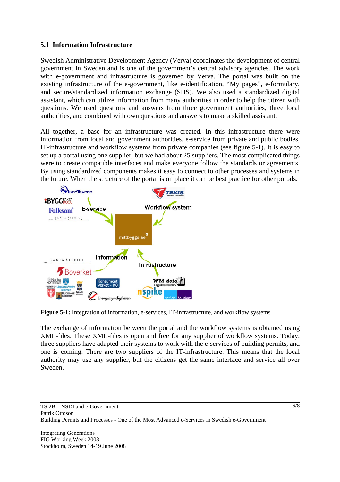### **5.1 Information Infrastructure**

Swedish Administrative Development Agency (Verva) coordinates the development of central government in Sweden and is one of the government's central advisory agencies. The work with e-government and infrastructure is governed by Verva. The portal was built on the existing infrastructure of the e-government, like e-identification, "My pages", e-formulary, and secure/standardized information exchange (SHS). We also used a standardized digital assistant, which can utilize information from many authorities in order to help the citizen with questions. We used questions and answers from three government authorities, three local authorities, and combined with own questions and answers to make a skilled assistant.

All together, a base for an infrastructure was created. In this infrastructure there were information from local and government authorities, e-service from private and public bodies, IT-infrastructure and workflow systems from private companies (see figure 5-1). It is easy to set up a portal using one supplier, but we had about 25 suppliers. The most complicated things were to create compatible interfaces and make everyone follow the standards or agreements. By using standardized components makes it easy to connect to other processes and systems in the future. When the structure of the portal is on place it can be best practice for other portals.



**Figure 5-1:** Integration of information, e-services, IT-infrastructure, and workflow systems

The exchange of information between the portal and the workflow systems is obtained using XML-files. These XML-files is open and free for any supplier of workflow systems. Today, three suppliers have adapted their systems to work with the e-services of building permits, and one is coming. There are two suppliers of the IT-infrastructure. This means that the local authority may use any supplier, but the citizens get the same interface and service all over Sweden.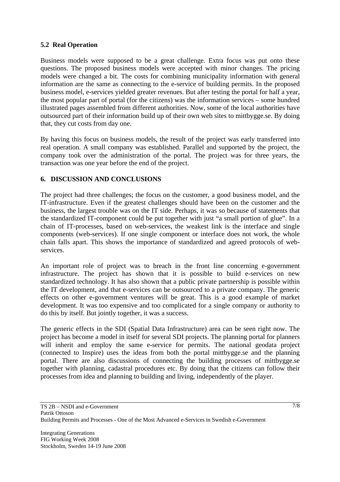### **5.2 Real Operation**

Business models were supposed to be a great challenge. Extra focus was put onto these questions. The proposed business models were accepted with minor changes. The pricing models were changed a bit. The costs for combining municipality information with general information are the same as connecting to the e-service of building permits. In the proposed business model, e-services yielded greater revenues. But after testing the portal for half a year, the most popular part of portal (for the citizens) was the information services – some hundred illustrated pages assembled from different authorities. Now, some of the local authorities have outsourced part of their information build up of their own web sites to mittbygge.se. By doing that, they cut costs from day one.

By having this focus on business models, the result of the project was early transferred into real operation. A small company was established. Parallel and supported by the project, the company took over the administration of the portal. The project was for three years, the transaction was one year before the end of the project.

## **6. DISCUSSION AND CONCLUSIONS**

The project had three challenges; the focus on the customer, a good business model, and the IT-infrastructure. Even if the greatest challenges should have been on the customer and the business, the largest trouble was on the IT side. Perhaps, it was so because of statements that the standardized IT-component could be put together with just "a small portion of glue". In a chain of IT-processes, based on web-services, the weakest link is the interface and single components (web-services). If one single component or interface does not work, the whole chain falls apart. This shows the importance of standardized and agreed protocols of webservices.

An important role of project was to breach in the front line concerning e-government infrastructure. The project has shown that it is possible to build e-services on new standardized technology. It has also shown that a public private partnership is possible within the IT development, and that e-services can be outsourced to a private company. The generic effects on other e-government ventures will be great. This is a good example of market development. It was too expensive and too complicated for a single company or authority to do this by itself. But jointly together, it was a success.

The generic effects in the SDI (Spatial Data Infrastructure) area can be seen right now. The project has become a model in itself for several SDI projects. The planning portal for planners will inherit and employ the same e-service for permits. The national geodata project (connected to Inspire) uses the ideas from both the portal mittbygge.se and the planning portal. There are also discussions of connecting the building processes of mittbygge.se together with planning, cadastral procedures etc. By doing that the citizens can follow their processes from idea and planning to building and living, independently of the player.